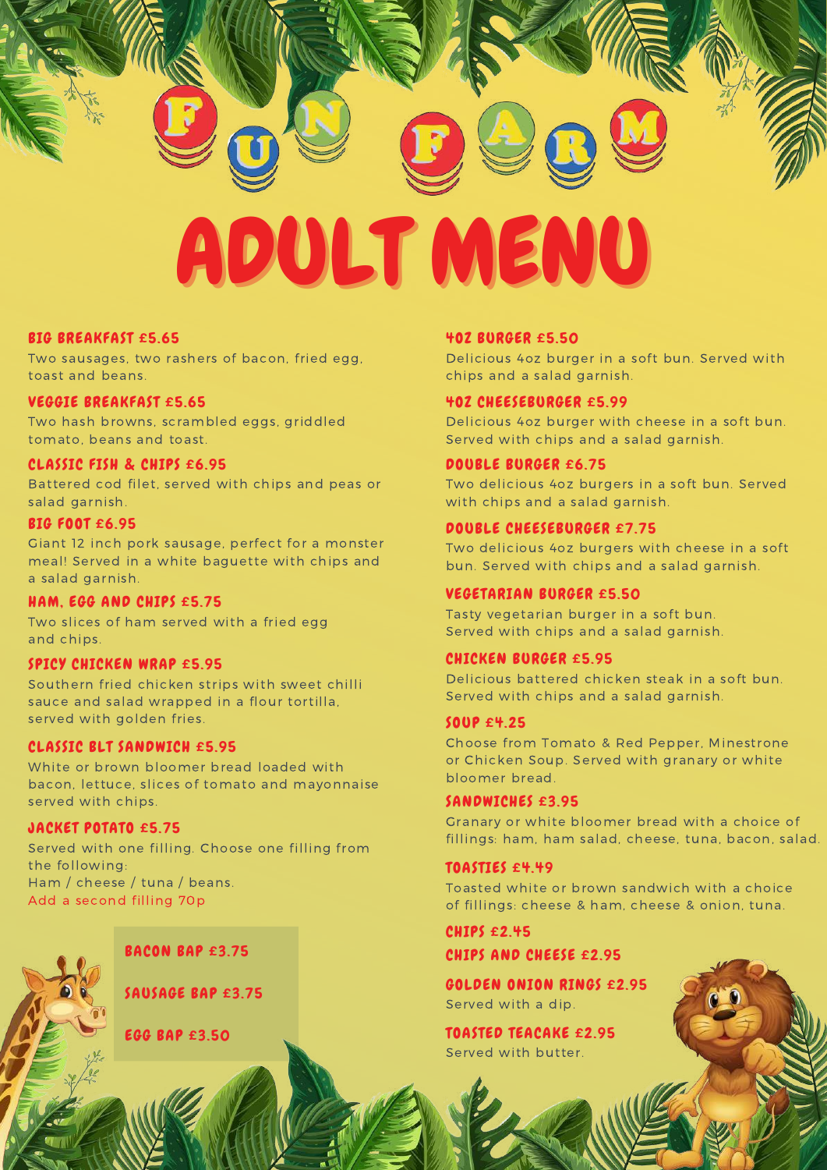

#### BIG BREAKFAST £5.65

Two sausages, two rashers of bacon, fried egg, toast and beans.

#### VEGGIE BREAKFAST £5.65

Two hash browns, scrambled eggs, griddled tomato, beans and toast.

#### CLASSIC FISH & CHIPS £6.95

Battered cod filet, served with chips and peas or salad garnish.

#### BIG FOOT £6.95

Giant 12 inch pork sausage, perfect for a monster meal! Served in a white baguette with chips and a salad garnish.

#### HAM, EGG AND CHIPS £5.75

Two slices of ham served with a fried egg and chips.

#### SPICY CHICKEN WRAP £5.95

Southern fried chicken strips with sweet chilli sauce and salad wrapped in a flour tortilla, served with golden fries.

#### CLASSIC BLT SANDWICH £5.95

White or brown bloomer bread loaded with bacon, lettuce, slices of tomato and mayonnaise served with chips.

#### JACKET POTATO £5.75

Served with one filling. Choose one filling from the following: Ham / cheese / tuna / beans. Add a second filling 70p



SAUSAGE BAP £3.75

#### EGG BAP £3.50

#### 4OZ BURGER £5.50

Delicious 4oz burger in a soft bun. Served with chips and a salad garnish.

#### 4OZ CHEESEBURGER £5.99

Delicious 4oz burger with cheese in a soft bun. Served with chips and a salad garnish.

#### DOUBLE BURGER £6.75

Two delicious 4oz burgers in a soft bun. Served with chips and a salad garnish.

#### DOUBLE CHEESEBURGER £7.75

Two delicious 4oz burgers with cheese in a soft bun. Served with chips and a salad garnish.

#### VEGETARIAN BURGER £5.50

Tasty vegetarian burger in a soft bun. Served with chips and a salad garnish.

#### CHICKEN BURGER £5.95

Delicious battered chicken steak in a soft bun. Served with chips and a salad garnish.

#### SOUP £4.25

Choose from Tomato & Red Pepper, Minestrone or Chicken Soup. Served with granary or white bloomer bread.

#### SANDWICHES £3.95

Granary or white bloomer bread with a choice of fillings: ham, ham salad, cheese, tuna, bacon, salad.

#### TOASTIES £4.49

Toasted white or brown sandwich with a choice of fillings: cheese & ham, cheese & onion, tuna.

CHIPS £2.45 CHIPS AND CHEESE £2.95

GOLDEN ONION RINGS £2.95 Served with a dip.

TOASTED TEACAKE £2.95 Served with butter.